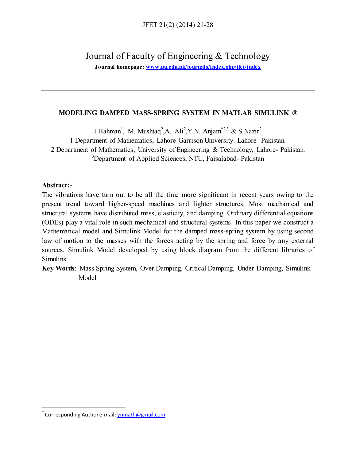Journal of Faculty of Engineering & Technology

**Journal homepage: [www.pu.edu.pk/journals/index.php/jfet/index](http://www.pu.edu.pk/journals/index.php/jfet/index)**

# **MODELING DAMPED MASS-SPRING SYSTEM IN MATLAB SIMULINK ®**

J.Rahman<sup>1</sup>, M. Mushtaq<sup>2</sup>,A. Ali<sup>2</sup>,Y.N. Anjam<sup>\*2,3</sup> & S.Nazir<sup>2</sup> 1 Department of Mathematics, Lahore Garrison University. Lahore- Pakistan. 2 Department of Mathematics, University of Engineering & Technology, Lahore- Pakistan. <sup>3</sup>Department of Applied Sciences, NTU, Faisalabad- Pakistan

# **Abstract:-**

 $\overline{a}$ 

The vibrations have turn out to be all the time more significant in recent years owing to the present trend toward higher-speed machines and lighter structures. Most mechanical and structural systems have distributed mass, elasticity, and damping. Ordinary differential equations (ODEs) play a vital role in such mechanical and structural systems. In this paper we construct a Mathematical model and Simulink Model for the damped mass-spring system by using second law of motion to the masses with the forces acting by the spring and force by any external sources. Simulink Model developed by using block diagram from the different libraries of Simulink.

**Key Words**: Mass Spring System, Over Damping, Critical Damping, Under Damping, Simulink Model

<sup>\*</sup> Corresponding Author e-mail[: ynmath@gmail.com](mailto:ynmath@gmail.com)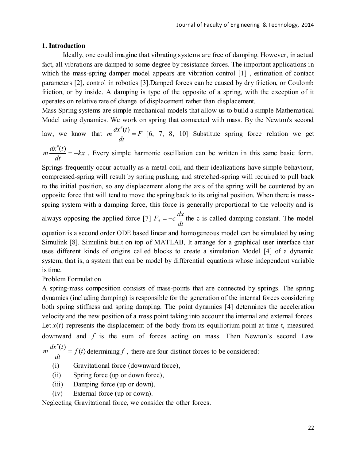### **1. Introduction**

Ideally, one could imagine that vibrating systems are free of damping. However, in actual fact, all vibrations are damped to some degree by resistance forces. The important applications in which the mass-spring damper model appears are vibration control [1], estimation of contact parameters [2], control in robotics [3].Damped forces can be caused by dry friction, or Coulomb friction, or by inside. A damping is type of the opposite of a spring, with the exception of it operates on relative rate of change of displacement rather than displacement.

Mass Spring systems are simple mechanical models that allow us to build a simple Mathematical Model using dynamics. We work on spring that connected with mass. By the Newton's second

law, we know that  $m \frac{dx(t)}{dt} = F$ *dt*  $m \frac{dx''(t)}{dt} = F$  [6, 7, 8, 10] Substitute spring force relation we get

*kx dt*  $m \frac{dx''(t)}{dt} = -kx$ . Every simple harmonic oscillation can be written in this same basic form.

Springs frequently occur actually as a metal-coil, and their idealizations have simple behaviour, compressed-spring will result by spring pushing, and stretched-spring will required to pull back to the initial position, so any displacement along the axis of the spring will be countered by an opposite force that will tend to move the spring back to its original position. When there is massspring system with a damping force, this force is generally proportional to the velocity and is

always opposing the applied force [7]  $F_d = -c \frac{dx}{dt}$  the c is called damping constant. The model

equation is a second order ODE based linear and homogeneous model can be simulated by using Simulink [8]. Simulink built on top of MATLAB, It arrange for a graphical user interface that uses different kinds of origins called blocks to create a simulation Model [4] of a dynamic system; that is, a system that can be model by differential equations whose independent variable is time.

# Problem Formulation

A spring-mass composition consists of mass-points that are connected by springs. The spring dynamics (including damping) is responsible for the generation of the internal forces considering both spring stiffness and spring damping. The point dynamics [4] determines the acceleration velocity and the new position of a mass point taking into account the internal and external forces. Let  $x(t)$  represents the displacement of the body from its equilibrium point at time t, measured downward and f is the sum of forces acting on mass. Then Newton's second Law

 $\frac{(t)}{t} = f(t)$ *dt*  $m \frac{dx''(t)}{dt} =$  $\mathbf{r}$ determining  $f$ , there are four distinct forces to be considered:

- (i) Gravitational force (downward force),
- (ii) Spring force (up or down force),
- (iii) Damping force (up or down),
- (iv) External force (up or down).

Neglecting Gravitational force, we consider the other forces.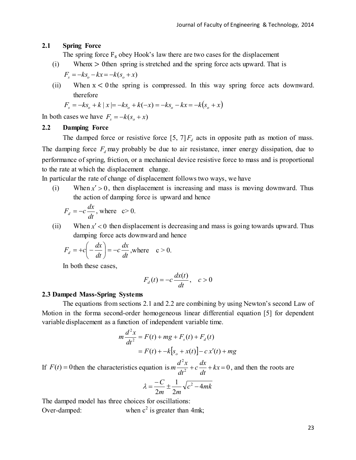#### **2.1 Spring Force**

The spring force  $F_s$  obey Hook's law there are two cases for the displacement

(i) When  $x > 0$  then spring is stretched and the spring force acts upward. That is

$$
F_s = -k s_o - kx = -k(s_o + x)
$$

(ii) When  $x < 0$  the spring is compressed. In this way spring force acts downward.<br>
therefore<br>  $F_s = -ks_o + k |x| = -ks_o + k(-x) = -ks_o - kx = -k(s_o + x)$ therefore

$$
F_s = -k s_o + k | x | = -k s_o + k(-x) = -k s_o - kx = -k(s_o + x)
$$

In both cases we have  $F_s = -k(s_o + x)$ 

#### **2.2 Damping Force**

The damped force or resistive force  $[5, 7]F_d$  acts in opposite path as motion of mass. The damping force  $F_d$  may probably be due to air resistance, inner energy dissipation, due to performance of spring, friction, or a mechanical device resistive force to mass and is proportional to the rate at which the displacement change.

In particular the rate of change of displacement follows two ways, we have

(i) When  $x' > 0$ , then displacement is increasing and mass is moving downward. Thus the action of damping force is upward and hence

$$
F_d = -c\frac{dx}{dt}
$$
, where  $c > 0$ .

(ii) When  $x' < 0$  then displacement is decreasing and mass is going towards upward. Thus damping force acts downward and hence

$$
F_d = +c\left(-\frac{dx}{dt}\right) = -c\frac{dx}{dt}, \text{where } c > 0.
$$

In both these cases,

$$
F_d(t) = -c\frac{dx(t)}{dt}, \quad c > 0
$$

#### **2.3 Damped Mass-Spring Systems**

The equations from sections 2.1 and 2.2 are combining by using Newton's second Law of Motion in the forma second-order homogeneous linear differential equation [5] for dependent variable displacement as a function of independent variable time.

$$
m\frac{d^2x}{dt^2} = F(t) + mg + F_s(t) + F_d(t)
$$
  
= F(t) + -k[s<sub>o</sub> + x(t)] - cx'(t) + mg

If  $F(t) = 0$  then the characteristics equation is  $m \frac{d^2x}{dt^2} + c \frac{dx}{dt} + kx = 0$ 2  $+c \frac{dx}{dt} + kx =$ *dt*  $c \frac{dx}{t}$ *dt*  $m\frac{d^2x}{dx^2} + c\frac{dx}{dx} + kx = 0$ , and then the roots are

$$
\lambda = \frac{-C}{2m} \pm \frac{1}{2m} \sqrt{c^2 - 4mk}
$$

The damped model has three choices for oscillations: Over-damped: when  $c^2$  is greater than 4mk;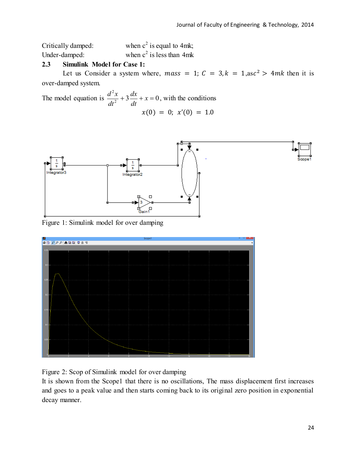Critically damped: when  $c^2$  is equal to 4mk; Under-damped: when  $c^2$  is less than 4mk

# **2.3 Simulink Model for Case 1:**

Let us Consider a system where, mass = 1;  $C = 3$ ,  $k = 1$ ,  $\text{as } c^2 > 4mk$  then it is over-damped system.

The model equation is  $\frac{d^{2}x}{dt^{2}} + 3\frac{dx}{dt} + x = 0$ 2  $x+3\frac{ax}{x}+x=$ *dt dx dt*  $\frac{d^2x}{dx^2} + 3\frac{dx}{dx} + x = 0$ , with the conditions  $x(0) = 0$ ;  $x'(0) = 1.0$ 



Figure 1: Simulink model for over damping



Figure 2: Scop of Simulink model for over damping

It is shown from the Scope1 that there is no oscillations, The mass displacement first increases and goes to a peak value and then starts coming back to its original zero position in exponential decay manner.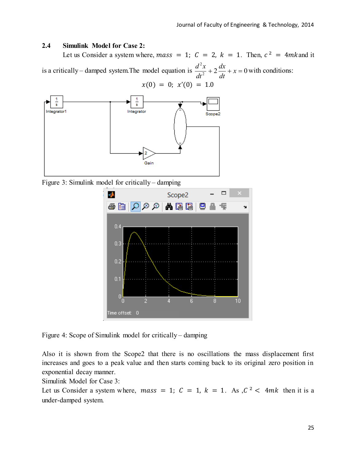### **2.4 Simulink Model for Case 2:**

Let us Consider a system where, mass = 1;  $C = 2$ ,  $k = 1$ . Then,  $c^2 = 4mk$  and it is a critically – damped system. The model equation is  $\frac{d^{2}x}{dt^{2}} + 2\frac{dx}{dt} + x = 0$ 2  $x + 2\frac{ax}{x} + x =$ *dt dx dt*  $\frac{d^2x}{dx^2} + 2\frac{dx}{dx} + x = 0$  with conditions:  $x(0) = 0$ ;  $x'(0) = 1.0$ 



Figure 3: Simulink model for critically – damping



Figure 4: Scope of Simulink model for critically – damping

Also it is shown from the Scope2 that there is no oscillations the mass displacement first increases and goes to a peak value and then starts coming back to its original zero position in exponential decay manner.

Simulink Model for Case 3:

Let us Consider a system where, mass = 1;  $C = 1$ ,  $k = 1$ . As,  $C^2 < 4mk$  then it is a under-damped system.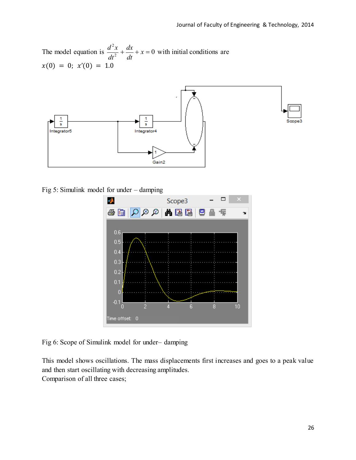The model equation is  $\frac{d^{2}x}{dt^{2}} + \frac{dx}{dt} + x = 0$ 2  $+\frac{ax}{1}+x=$ *dt dx dt*  $\frac{d^2x}{dx^2} + \frac{dx}{x} + x = 0$  with initial conditions are  $x(0) = 0; x'(0) = 1.0$ 



Fig 5: Simulink model for under – damping



Fig 6: Scope of Simulink model for under– damping

This model shows oscillations. The mass displacements first increases and goes to a peak value and then start oscillating with decreasing amplitudes. Comparison of all three cases;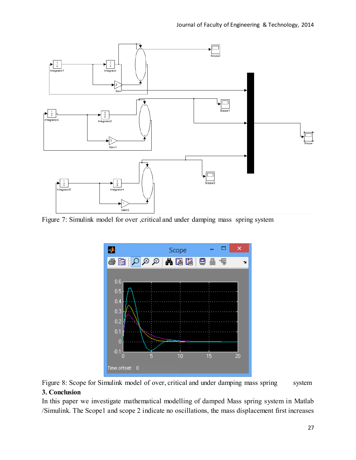

Figure 7: Simulink model for over , critical and under damping mass spring system



Figure 8: Scope for Simulink model of over, critical and under damping mass spring system **3. Conclusion** 

In this paper we investigate mathematical modelling of damped Mass spring system in Matlab /Simulink. The Scope1 and scope 2 indicate no oscillations, the mass displacement first increases